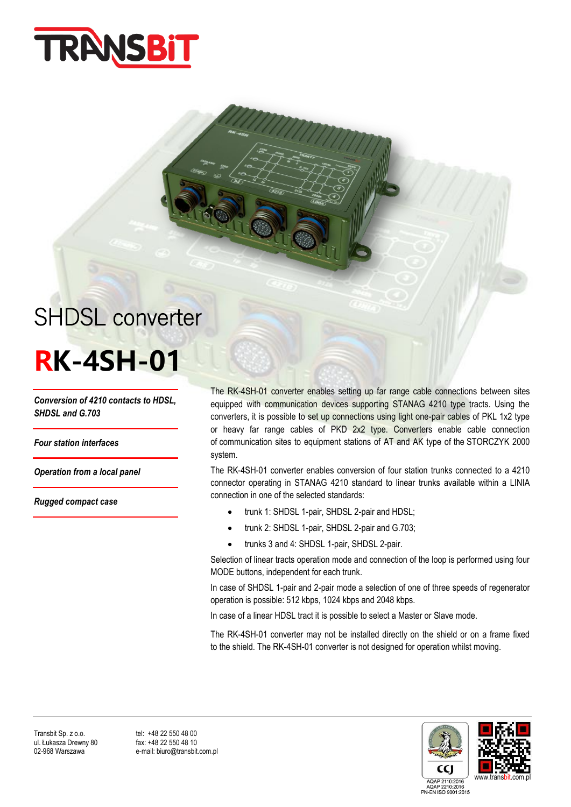

# SHDSL converter

## **RK-4SH-01**

*Conversion of 4210 contacts to HDSL, SHDSL and G.703*

*Four station interfaces*

*Operation from a local panel*

*Rugged compact case*

The RK-4SH-01 converter enables setting up far range cable connections between sites equipped with communication devices supporting STANAG 4210 type tracts. Using the converters, it is possible to set up connections using light one-pair cables of PKL 1x2 type or heavy far range cables of PKD 2x2 type. Converters enable cable connection of communication sites to equipment stations of AT and AK type of the STORCZYK 2000 system.

The RK-4SH-01 converter enables conversion of four station trunks connected to a 4210 connector operating in STANAG 4210 standard to linear trunks available within a LINIA connection in one of the selected standards:

- trunk 1: SHDSL 1-pair, SHDSL 2-pair and HDSL;
- trunk 2: SHDSL 1-pair, SHDSL 2-pair and G.703;
- trunks 3 and 4: SHDSL 1-pair, SHDSL 2-pair.

Selection of linear tracts operation mode and connection of the loop is performed using four MODE buttons, independent for each trunk.

In case of SHDSL 1-pair and 2-pair mode a selection of one of three speeds of regenerator operation is possible: 512 kbps, 1024 kbps and 2048 kbps.

In case of a linear HDSL tract it is possible to select a Master or Slave mode.

The RK-4SH-01 converter may not be installed directly on the shield or on a frame fixed to the shield. The RK-4SH-01 converter is not designed for operation whilst moving.

Transbit Sp. z o.o. tel: +48 22 550 48 00<br>
ul. Łukasza Drewny 80 fax: +48 22 550 48 10 ul. Łukasza Drewny 80<br>02-968 Warszawa

e-mail: biuro@transbit.com.pl